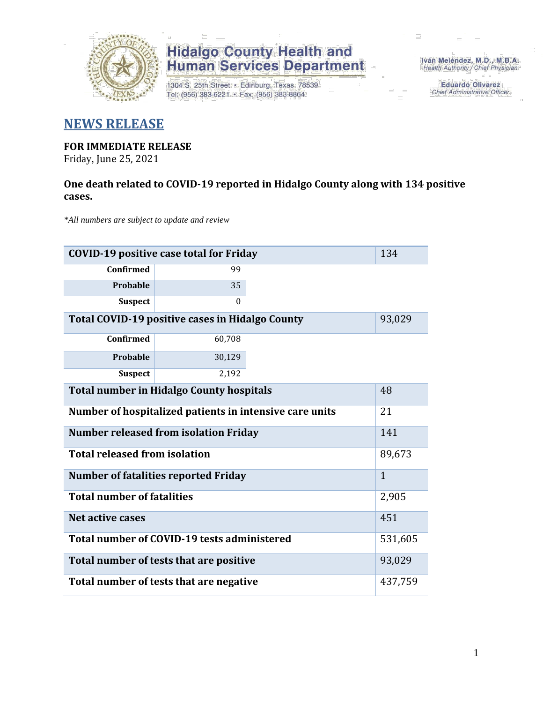

## **Hidalgo County Health and<br>Human Services Department**

1304 S. 25th Street · Edinburg, Texas 78539 Tel: (956) 383-6221 · Fax: (956) 383-8864

Iván Meléndez, M.D., M.B.A. Health Authority / Chief Physician

> **Eduardo Olivarez** Chief Administrative Officer

### **NEWS RELEASE**

### **FOR IMMEDIATE RELEASE**

Friday, June 25, 2021

#### **One death related to COVID-19 reported in Hidalgo County along with 134 positive cases.**

*\*All numbers are subject to update and review*

| <b>COVID-19 positive case total for Friday</b>          |          |        |  |  |
|---------------------------------------------------------|----------|--------|--|--|
| Confirmed                                               | 99       |        |  |  |
| Probable                                                | 35       |        |  |  |
| <b>Suspect</b>                                          | $\Omega$ |        |  |  |
| Total COVID-19 positive cases in Hidalgo County         |          | 93,029 |  |  |
| <b>Confirmed</b>                                        | 60,708   |        |  |  |
| <b>Probable</b>                                         | 30,129   |        |  |  |
| <b>Suspect</b>                                          | 2,192    |        |  |  |
| <b>Total number in Hidalgo County hospitals</b>         | 48       |        |  |  |
| Number of hospitalized patients in intensive care units | 21       |        |  |  |
| <b>Number released from isolation Friday</b>            | 141      |        |  |  |
| <b>Total released from isolation</b>                    |          |        |  |  |
| <b>Number of fatalities reported Friday</b>             |          |        |  |  |
| <b>Total number of fatalities</b>                       |          |        |  |  |
| Net active cases                                        | 451      |        |  |  |
| Total number of COVID-19 tests administered             | 531,605  |        |  |  |
| Total number of tests that are positive                 | 93,029   |        |  |  |
| Total number of tests that are negative                 | 437,759  |        |  |  |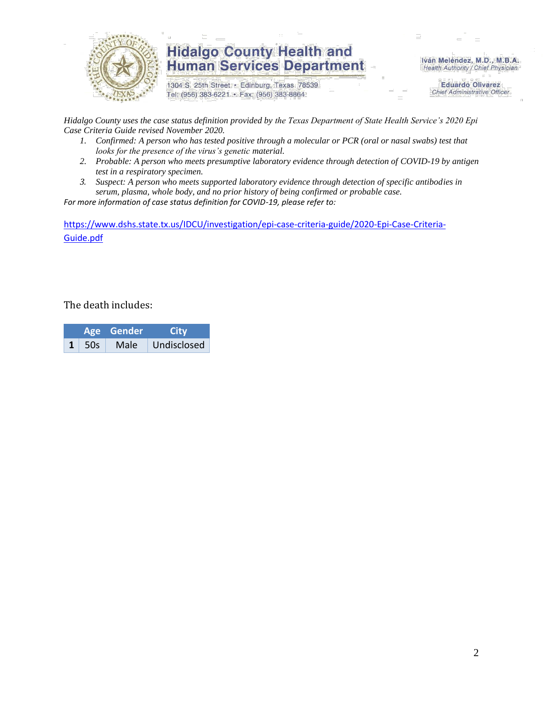

### **Hidalgo County Health and Human Services Department**

1304 S. 25th Street · Edinburg, Texas 78539 Tel: (956) 383-6221 · Fax: (956) 383-8864

Iván Meléndez, M.D., M.B.A. Health Authority / Chief Physician

> **Eduardo Olivarez Chief Administrative Officer**

*Hidalgo County uses the case status definition provided by the Texas Department of State Health Service's 2020 Epi Case Criteria Guide revised November 2020.*

- *1. Confirmed: A person who has tested positive through a molecular or PCR (oral or nasal swabs) test that looks for the presence of the virus's genetic material.*
- *2. Probable: A person who meets presumptive laboratory evidence through detection of COVID-19 by antigen test in a respiratory specimen.*
- *3. Suspect: A person who meets supported laboratory evidence through detection of specific antibodies in serum, plasma, whole body, and no prior history of being confirmed or probable case.*

*For more information of case status definition for COVID-19, please refer to:*

[https://www.dshs.state.tx.us/IDCU/investigation/epi-case-criteria-guide/2020-Epi-Case-Criteria-](https://www.dshs.state.tx.us/IDCU/investigation/epi-case-criteria-guide/2020-Epi-Case-Criteria-Guide.pdf)[Guide.pdf](https://www.dshs.state.tx.us/IDCU/investigation/epi-case-criteria-guide/2020-Epi-Case-Criteria-Guide.pdf)

The death includes:

|  |       | Age Gender | <b>City</b> |  |  |
|--|-------|------------|-------------|--|--|
|  | - 50s | Male       | Undisclosed |  |  |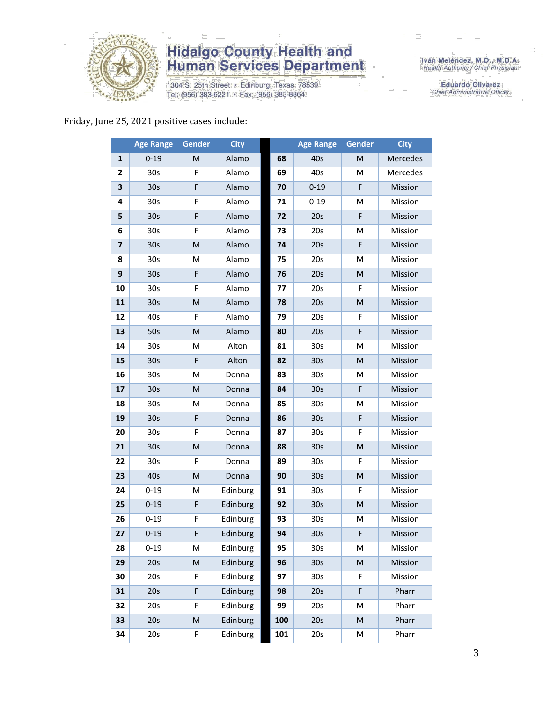

## **Hidalgo County Health and<br>Human Services Department**

1304 S. 25th Street · Edinburg, Texas 78539 Tel: (956) 383-6221 · Fax: (956) 383-8864

Iván Meléndez, M.D., M.B.A.<br>Health Authority / Chief Physician

**Eduardo Olivarez** Chief Administrative Officer

#### Friday, June 25, 2021 positive cases include:

|                         | <b>Age Range</b> | Gender                                                                                                     | <b>City</b> |     | <b>Age Range</b> | <b>Gender</b>                                                                                              | <b>City</b> |
|-------------------------|------------------|------------------------------------------------------------------------------------------------------------|-------------|-----|------------------|------------------------------------------------------------------------------------------------------------|-------------|
| $\mathbf{1}$            | $0 - 19$         | M                                                                                                          | Alamo       | 68  | 40s              | M                                                                                                          | Mercedes    |
| $\mathbf{2}$            | 30s              | F                                                                                                          | Alamo       | 69  | 40s              | M                                                                                                          | Mercedes    |
| 3                       | 30 <sub>s</sub>  | F                                                                                                          | Alamo       | 70  | $0 - 19$         | F                                                                                                          | Mission     |
| 4                       | 30 <sub>s</sub>  | F                                                                                                          | Alamo       | 71  | $0 - 19$         | M                                                                                                          | Mission     |
| 5                       | 30 <sub>s</sub>  | F                                                                                                          | Alamo       | 72  | 20s              | F                                                                                                          | Mission     |
| 6                       | 30 <sub>s</sub>  | F                                                                                                          | Alamo       | 73  | 20s              | M                                                                                                          | Mission     |
| $\overline{\mathbf{z}}$ | 30 <sub>s</sub>  | $\mathsf{M}% _{T}=\mathsf{M}_{T}\!\left( a,b\right) ,\ \mathsf{M}_{T}=\mathsf{M}_{T}\!\left( a,b\right) ,$ | Alamo       | 74  | 20s              | $\mathsf F$                                                                                                | Mission     |
| 8                       | 30 <sub>s</sub>  | M                                                                                                          | Alamo       | 75  | 20s              | M                                                                                                          | Mission     |
| 9                       | 30 <sub>s</sub>  | F                                                                                                          | Alamo       | 76  | 20s              | $\mathsf{M}% _{T}=\mathsf{M}_{T}\!\left( a,b\right) ,\ \mathsf{M}_{T}=\mathsf{M}_{T}\!\left( a,b\right) ,$ | Mission     |
| 10                      | 30 <sub>s</sub>  | F                                                                                                          | Alamo       | 77  | 20s              | F                                                                                                          | Mission     |
| 11                      | 30 <sub>s</sub>  | $\mathsf{M}% _{T}=\mathsf{M}_{T}\!\left( a,b\right) ,\ \mathsf{M}_{T}=\mathsf{M}_{T}\!\left( a,b\right) ,$ | Alamo       | 78  | 20s              | $\mathsf{M}% _{T}=\mathsf{M}_{T}\!\left( a,b\right) ,\ \mathsf{M}_{T}=\mathsf{M}_{T}\!\left( a,b\right) ,$ | Mission     |
| 12                      | 40s              | F                                                                                                          | Alamo       | 79  | 20s              | F                                                                                                          | Mission     |
| 13                      | 50s              | M                                                                                                          | Alamo       | 80  | 20s              | $\mathsf F$                                                                                                | Mission     |
| 14                      | 30 <sub>s</sub>  | M                                                                                                          | Alton       | 81  | 30 <sub>s</sub>  | M                                                                                                          | Mission     |
| 15                      | 30 <sub>s</sub>  | F                                                                                                          | Alton       | 82  | 30 <sub>s</sub>  | M                                                                                                          | Mission     |
| 16                      | 30 <sub>s</sub>  | M                                                                                                          | Donna       | 83  | 30 <sub>s</sub>  | M                                                                                                          | Mission     |
| 17                      | 30 <sub>s</sub>  | M                                                                                                          | Donna       | 84  | 30 <sub>s</sub>  | F                                                                                                          | Mission     |
| 18                      | 30 <sub>s</sub>  | M                                                                                                          | Donna       | 85  | 30 <sub>s</sub>  | M                                                                                                          | Mission     |
| 19                      | 30 <sub>s</sub>  | F                                                                                                          | Donna       | 86  | 30 <sub>s</sub>  | $\mathsf F$                                                                                                | Mission     |
| 20                      | 30 <sub>s</sub>  | F                                                                                                          | Donna       | 87  | 30 <sub>s</sub>  | F                                                                                                          | Mission     |
| 21                      | 30 <sub>s</sub>  | $\mathsf{M}% _{T}=\mathsf{M}_{T}\!\left( a,b\right) ,\ \mathsf{M}_{T}=\mathsf{M}_{T}\!\left( a,b\right) ,$ | Donna       | 88  | 30 <sub>s</sub>  | M                                                                                                          | Mission     |
| 22                      | 30 <sub>s</sub>  | F                                                                                                          | Donna       | 89  | 30 <sub>s</sub>  | F                                                                                                          | Mission     |
| 23                      | 40s              | M                                                                                                          | Donna       | 90  | 30s              | M                                                                                                          | Mission     |
| 24                      | $0 - 19$         | M                                                                                                          | Edinburg    | 91  | 30 <sub>s</sub>  | F                                                                                                          | Mission     |
| 25                      | $0 - 19$         | F                                                                                                          | Edinburg    | 92  | 30 <sub>s</sub>  | $\mathsf{M}% _{T}=\mathsf{M}_{T}\!\left( a,b\right) ,\ \mathsf{M}_{T}=\mathsf{M}_{T}\!\left( a,b\right) ,$ | Mission     |
| 26                      | $0 - 19$         | F                                                                                                          | Edinburg    | 93  | 30 <sub>s</sub>  | M                                                                                                          | Mission     |
| 27                      | $0 - 19$         | F                                                                                                          | Edinburg    | 94  | 30 <sub>s</sub>  | F                                                                                                          | Mission     |
| 28                      | $0 - 19$         | М                                                                                                          | Edinburg    | 95  | 30s              | м                                                                                                          | Mission     |
| 29                      | 20s              | M                                                                                                          | Edinburg    | 96  | 30 <sub>s</sub>  | $\mathsf{M}% _{T}=\mathsf{M}_{T}\!\left( a,b\right) ,\ \mathsf{M}_{T}=\mathsf{M}_{T}\!\left( a,b\right) ,$ | Mission     |
| 30                      | 20s              | F                                                                                                          | Edinburg    | 97  | 30 <sub>s</sub>  | F                                                                                                          | Mission     |
| 31                      | 20s              | F                                                                                                          | Edinburg    | 98  | 20s              | $\mathsf F$                                                                                                | Pharr       |
| 32                      | 20s              | F                                                                                                          | Edinburg    | 99  | 20s              | M                                                                                                          | Pharr       |
| 33                      | 20s              | M                                                                                                          | Edinburg    | 100 | 20s              | $\mathsf{M}% _{T}=\mathsf{M}_{T}\!\left( a,b\right) ,\ \mathsf{M}_{T}=\mathsf{M}_{T}\!\left( a,b\right) ,$ | Pharr       |
| 34                      | 20s              | F                                                                                                          | Edinburg    | 101 | 20s              | M                                                                                                          | Pharr       |